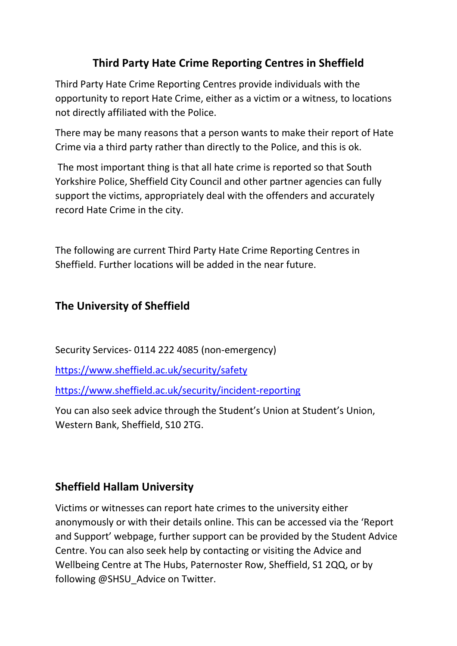# **Third Party Hate Crime Reporting Centres in Sheffield**

Third Party Hate Crime Reporting Centres provide individuals with the opportunity to report Hate Crime, either as a victim or a witness, to locations not directly affiliated with the Police.

There may be many reasons that a person wants to make their report of Hate Crime via a third party rather than directly to the Police, and this is ok.

The most important thing is that all hate crime is reported so that South Yorkshire Police, Sheffield City Council and other partner agencies can fully support the victims, appropriately deal with the offenders and accurately record Hate Crime in the city.

The following are current Third Party Hate Crime Reporting Centres in Sheffield. Further locations will be added in the near future.

## **The University of Sheffield**

Security Services- 0114 222 4085 (non-emergency)

<https://www.sheffield.ac.uk/security/safety>

<https://www.sheffield.ac.uk/security/incident-reporting>

You can also seek advice through the Student's Union at Student's Union, Western Bank, Sheffield, S10 2TG.

## **Sheffield Hallam University**

Victims or witnesses can report hate crimes to the university either anonymously or with their details online. This can be accessed via the 'Report and Support' webpage, further support can be provided by the Student Advice Centre. You can also seek help by contacting or visiting the Advice and Wellbeing Centre at The Hubs, Paternoster Row, Sheffield, S1 2QQ, or by following @SHSU\_Advice on Twitter.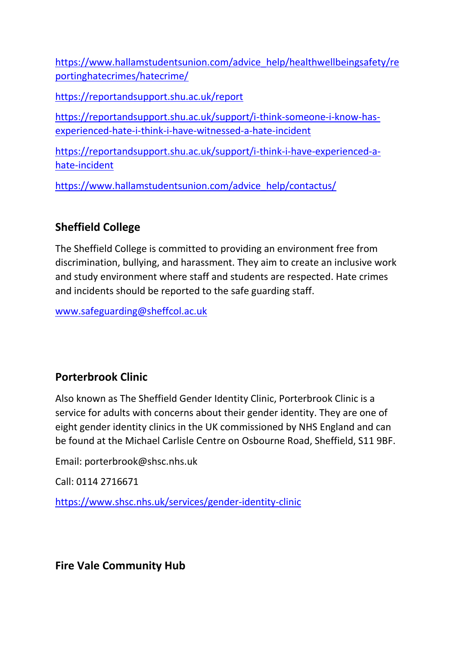[https://www.hallamstudentsunion.com/advice\\_help/healthwellbeingsafety/re](https://www.hallamstudentsunion.com/advice_help/healthwellbeingsafety/reportinghatecrimes/hatecrime/) [portinghatecrimes/hatecrime/](https://www.hallamstudentsunion.com/advice_help/healthwellbeingsafety/reportinghatecrimes/hatecrime/)

<https://reportandsupport.shu.ac.uk/report>

[https://reportandsupport.shu.ac.uk/support/i-think-someone-i-know-has](https://reportandsupport.shu.ac.uk/support/i-think-someone-i-know-has-experienced-hate-i-think-i-have-witnessed-a-hate-incident)[experienced-hate-i-think-i-have-witnessed-a-hate-incident](https://reportandsupport.shu.ac.uk/support/i-think-someone-i-know-has-experienced-hate-i-think-i-have-witnessed-a-hate-incident)

[https://reportandsupport.shu.ac.uk/support/i-think-i-have-experienced-a](https://reportandsupport.shu.ac.uk/support/i-think-i-have-experienced-a-hate-incident)[hate-incident](https://reportandsupport.shu.ac.uk/support/i-think-i-have-experienced-a-hate-incident)

[https://www.hallamstudentsunion.com/advice\\_help/contactus/](https://www.hallamstudentsunion.com/advice_help/contactus/)

### **Sheffield College**

The Sheffield College is committed to providing an environment free from discrimination, bullying, and harassment. They aim to create an inclusive work and study environment where staff and students are respected. Hate crimes and incidents should be reported to the safe guarding staff.

[www.safeguarding@sheffcol.ac.uk](http://www.safeguarding@sheffcol.ac.uk)

## **Porterbrook Clinic**

Also known as The Sheffield Gender Identity Clinic, Porterbrook Clinic is a service for adults with concerns about their gender identity. They are one of eight gender identity clinics in the UK commissioned by NHS England and can be found at the Michael Carlisle Centre on Osbourne Road, Sheffield, S11 9BF.

Email: porterbrook@shsc.nhs.uk

Call: 0114 2716671

<https://www.shsc.nhs.uk/services/gender-identity-clinic>

**Fire Vale Community Hub**